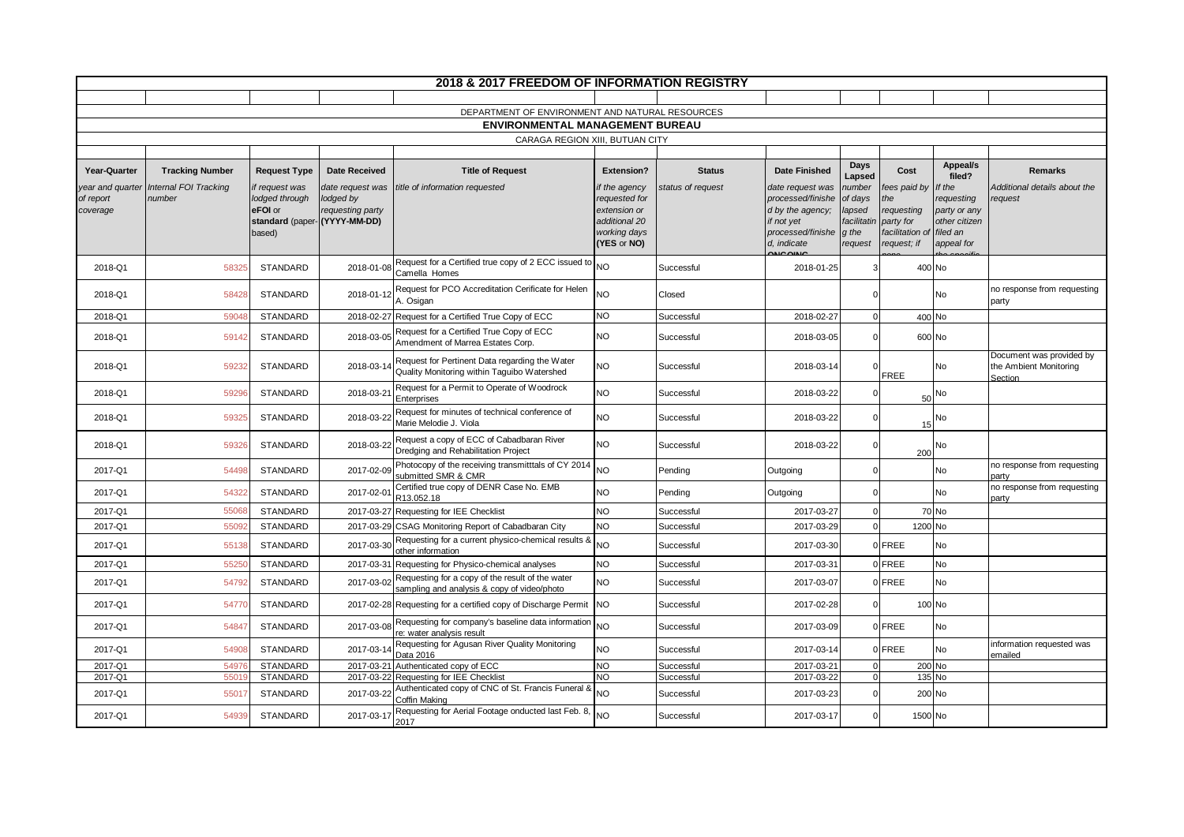|                                           |                                 |                                                                                       |                                                   | 2018 & 2017 FREEDOM OF INFORMATION REGISTRY                                                      |                                                                                                |                          |                                                                                                             |                                                                |                                                                                 |                                                                                 |                                                               |
|-------------------------------------------|---------------------------------|---------------------------------------------------------------------------------------|---------------------------------------------------|--------------------------------------------------------------------------------------------------|------------------------------------------------------------------------------------------------|--------------------------|-------------------------------------------------------------------------------------------------------------|----------------------------------------------------------------|---------------------------------------------------------------------------------|---------------------------------------------------------------------------------|---------------------------------------------------------------|
|                                           |                                 |                                                                                       |                                                   |                                                                                                  |                                                                                                |                          |                                                                                                             |                                                                |                                                                                 |                                                                                 |                                                               |
|                                           |                                 |                                                                                       |                                                   | DEPARTMENT OF ENVIRONMENT AND NATURAL RESOURCES<br>ENVIRONMENTAL MANAGEMENT BUREAU               |                                                                                                |                          |                                                                                                             |                                                                |                                                                                 |                                                                                 |                                                               |
|                                           |                                 |                                                                                       |                                                   | CARAGA REGION XIII, BUTUAN CITY                                                                  |                                                                                                |                          |                                                                                                             |                                                                |                                                                                 |                                                                                 |                                                               |
|                                           |                                 |                                                                                       |                                                   |                                                                                                  |                                                                                                |                          |                                                                                                             |                                                                |                                                                                 |                                                                                 |                                                               |
| Year-Quarter                              | <b>Tracking Number</b>          | <b>Request Type</b>                                                                   | <b>Date Received</b>                              | <b>Title of Request</b>                                                                          | <b>Extension?</b>                                                                              | <b>Status</b>            | <b>Date Finished</b>                                                                                        | Days<br>Lapsed                                                 | Cost                                                                            | Appeal/s<br>filed?                                                              | Remarks                                                       |
| year and quarter<br>of report<br>coverage | Internal FOI Tracking<br>number | if request was<br>lodged through<br>eFOI or<br>standard (paper-(YYYY-MM-DD)<br>based) | date request was<br>lodged by<br>requesting party | title of information requested                                                                   | if the agency<br>requested for<br>extension or<br>additional 20<br>working days<br>(YES or NO) | status of request        | date request was<br>processed/finishe<br>d by the agency;<br>if not yet<br>processed/finishe<br>d, indicate | number<br>of days<br>lapsed<br>facilitatir<br>q the<br>request | fees paid by<br>'he<br>requesting<br>party for<br>facilitation o<br>request; if | If the<br>requesting<br>party or any<br>other citizen<br>filed an<br>appeal for | Additional details about the<br>request                       |
| 2018-Q1                                   | 58325                           | <b>STANDARD</b>                                                                       | 2018-01-08                                        | Request for a Certified true copy of 2 ECC issued to NO<br>Camella Homes                         |                                                                                                | Successful               | 2018-01-25                                                                                                  |                                                                | 400 No                                                                          |                                                                                 |                                                               |
| 2018-Q1                                   | 58428                           | <b>STANDARD</b>                                                                       | 2018-01-12                                        | Request for PCO Accreditation Cerificate for Helen<br>A. Osigan                                  | NO                                                                                             | Closed                   |                                                                                                             |                                                                |                                                                                 | No                                                                              | no response from requesting<br>party                          |
| 2018-Q1                                   | 5904                            | <b>STANDARD</b>                                                                       |                                                   | 2018-02-27 Request for a Certified True Copy of ECC                                              | <b>NO</b>                                                                                      | Successful               | 2018-02-27                                                                                                  |                                                                | 400 No                                                                          |                                                                                 |                                                               |
| 2018-Q1                                   | 59142                           | STANDARD                                                                              | 2018-03-05                                        | Request for a Certified True Copy of ECC<br>Amendment of Marrea Estates Corp.                    | <b>NO</b>                                                                                      | Successful               | 2018-03-05                                                                                                  |                                                                | 600 No                                                                          |                                                                                 |                                                               |
| 2018-Q1                                   | 59232                           | <b>STANDARD</b>                                                                       | 2018-03-14                                        | Request for Pertinent Data regarding the Water<br>Quality Monitoring within Taquibo Watershed    | <b>NO</b>                                                                                      | Successful               | 2018-03-14                                                                                                  |                                                                | FREE                                                                            | No                                                                              | Document was provided by<br>the Ambient Monitoring<br>Section |
| 2018-Q1                                   | 59296                           | <b>STANDARD</b>                                                                       | 2018-03-21                                        | Request for a Permit to Operate of Woodrock<br>Enterprises                                       | <b>NO</b>                                                                                      | Successful               | 2018-03-22                                                                                                  |                                                                | 50                                                                              | No                                                                              |                                                               |
| 2018-Q1                                   | 59325                           | <b>STANDARD</b>                                                                       | 2018-03-22                                        | Request for minutes of technical conference of<br>Marie Melodie J. Viola                         | <b>NO</b>                                                                                      | Successful               | 2018-03-22                                                                                                  |                                                                | 15                                                                              | No                                                                              |                                                               |
| 2018-Q1                                   | 5932                            | <b>STANDARD</b>                                                                       | 2018-03-22                                        | Request a copy of ECC of Cabadbaran River<br>Dredging and Rehabilitation Project                 | NO                                                                                             | Successful               | 2018-03-22                                                                                                  |                                                                | 200                                                                             | No                                                                              |                                                               |
| 2017-Q1                                   | 54498                           | STANDARD                                                                              | 2017-02-09                                        | Photocopy of the receiving transmitttals of CY 2014<br>submitted SMR & CMR                       | <b>NO</b>                                                                                      | Pending                  | Outgoing                                                                                                    |                                                                |                                                                                 | No                                                                              | no response from requesting<br>party                          |
| 2017-Q1                                   | 54322                           | <b>STANDARD</b>                                                                       | 2017-02-01                                        | Certified true copy of DENR Case No. EMB<br>R13.052.18                                           | <b>NO</b>                                                                                      | Pending                  | Outgoing                                                                                                    |                                                                |                                                                                 | No                                                                              | no response from requesting<br>party                          |
| 2017-Q1                                   | 55068                           | <b>STANDARD</b>                                                                       |                                                   | 2017-03-27 Requesting for IEE Checklist                                                          | <b>NO</b>                                                                                      | Successful               | 2017-03-27                                                                                                  |                                                                |                                                                                 | 70 No                                                                           |                                                               |
| 2017-Q1                                   | 5509                            | <b>STANDARD</b>                                                                       | 2017-03-29                                        | CSAG Monitoring Report of Cabadbaran City<br>Requesting for a current physico-chemical results & | <b>NO</b>                                                                                      | Successful               | 2017-03-29                                                                                                  |                                                                | 1200 No                                                                         |                                                                                 |                                                               |
| 2017-Q1                                   | 55138                           | <b>STANDARD</b>                                                                       | 2017-03-30                                        | other information                                                                                | <b>NO</b>                                                                                      | Successful               | 2017-03-30                                                                                                  |                                                                | 0 FREE                                                                          | No                                                                              |                                                               |
| 2017-Q1                                   | 5525                            | <b>STANDARD</b>                                                                       |                                                   | 2017-03-31 Requesting for Physico-chemical analyses                                              | <b>NO</b>                                                                                      | Successful               | 2017-03-3                                                                                                   |                                                                | 0 FREE                                                                          | No                                                                              |                                                               |
| 2017-Q1                                   | 54792                           | <b>STANDARD</b>                                                                       | 2017-03-02                                        | Requesting for a copy of the result of the water<br>sampling and analysis & copy of video/photo  | <b>NO</b>                                                                                      | Successful               | 2017-03-07                                                                                                  |                                                                | 0 FREE                                                                          | No                                                                              |                                                               |
| 2017-Q1                                   | 5477                            | <b>STANDARD</b>                                                                       | 2017-02-28                                        | Requesting for a certified copy of Discharge Permit                                              | <b>NO</b>                                                                                      | Successful               | 2017-02-28                                                                                                  |                                                                | 100 No                                                                          |                                                                                 |                                                               |
| 2017-Q1                                   | 54847                           | <b>STANDARD</b>                                                                       | 2017-03-08                                        | Requesting for company's baseline data information<br>re: water analysis result                  | <b>NO</b>                                                                                      | Successful               | 2017-03-09                                                                                                  |                                                                | 0 FREE                                                                          | No                                                                              |                                                               |
| 2017-Q1                                   | 54908                           | <b>STANDARD</b>                                                                       | 2017-03-14                                        | Requesting for Agusan River Quality Monitoring<br>Data 2016                                      | <b>NO</b>                                                                                      | Successful               | 2017-03-14                                                                                                  |                                                                | 0 FREE                                                                          | No                                                                              | information requested was<br>emailed                          |
| 2017-Q1<br>2017-Q1                        | 5497<br>5501                    | <b>STANDARD</b><br><b>STANDARD</b>                                                    |                                                   | 2017-03-21 Authenticated copy of ECC<br>2017-03-22 Requesting for IEE Checklist                  | <b>NO</b><br><b>NO</b>                                                                         | Successful<br>Successful | 2017-03-21<br>2017-03-22                                                                                    | $\Omega$                                                       | 200 No<br>135 No                                                                |                                                                                 |                                                               |
| 2017-Q1                                   | 55017                           | <b>STANDARD</b>                                                                       | 2017-03-22                                        | Authenticated copy of CNC of St. Francis Funeral &<br>Coffin Making                              | <b>NO</b>                                                                                      | Successful               | 2017-03-23                                                                                                  |                                                                | 200 No                                                                          |                                                                                 |                                                               |
| 2017-Q1                                   | 54939                           | STANDARD                                                                              | 2017-03-17                                        | Requesting for Aerial Footage onducted last Feb. 8,<br>2017                                      | <b>NO</b>                                                                                      | Successful               | 2017-03-17                                                                                                  |                                                                | 1500 No                                                                         |                                                                                 |                                                               |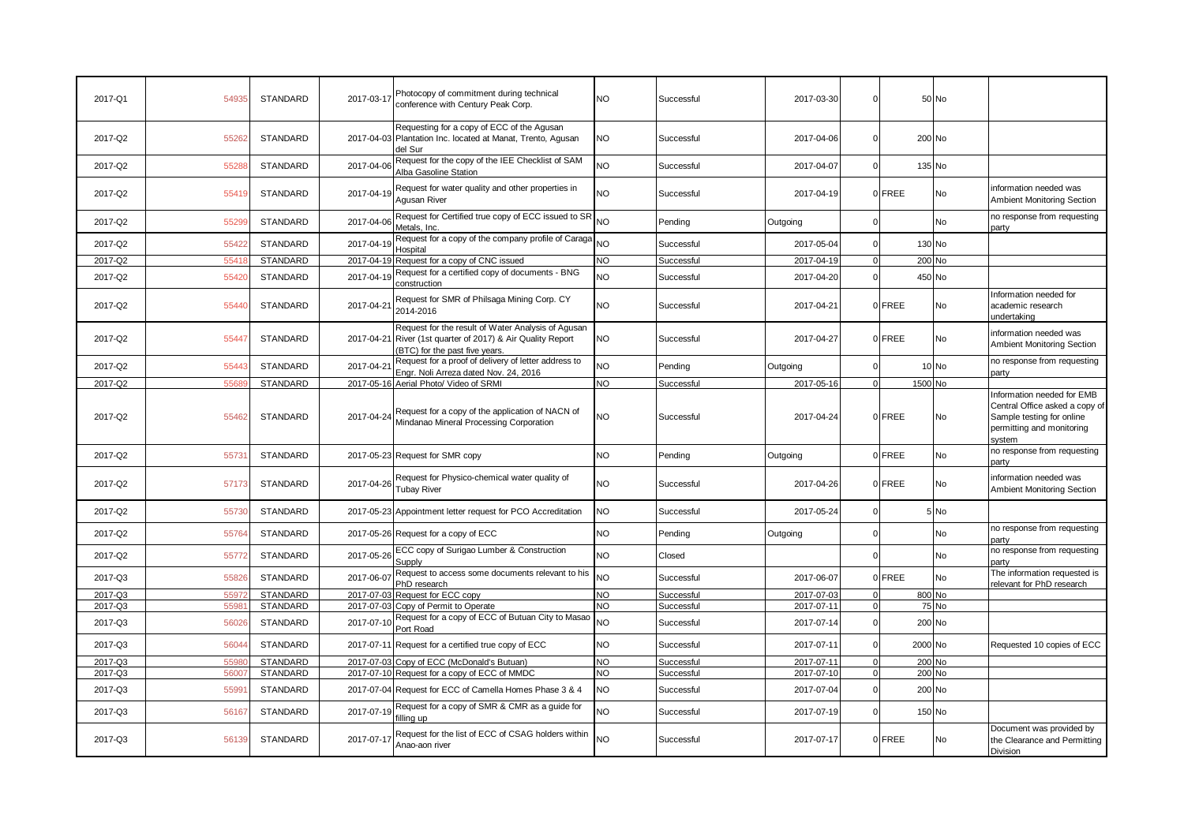| 2017-Q1 | 54935 | STANDARD        | 2017-03-17 | Photocopy of commitment during technical<br>conference with Century Peak Corp.                                                                      | <b>NO</b>       | Successful | 2017-03-30 | $\Omega$ |        | 50 No   |                                                                                                                                  |
|---------|-------|-----------------|------------|-----------------------------------------------------------------------------------------------------------------------------------------------------|-----------------|------------|------------|----------|--------|---------|----------------------------------------------------------------------------------------------------------------------------------|
| 2017-Q2 | 55262 | <b>STANDARD</b> |            | Requesting for a copy of ECC of the Agusan<br>2017-04-03 Plantation Inc. located at Manat, Trento, Agusan<br>del Sur                                | <b>NO</b>       | Successful | 2017-04-06 | $\Omega$ |        | 200 No  |                                                                                                                                  |
| 2017-Q2 | 5528  | <b>STANDARD</b> | 2017-04-06 | Request for the copy of the IEE Checklist of SAM<br>Alba Gasoline Station                                                                           | <b>NO</b>       | Successful | 2017-04-07 |          |        | 135 No  |                                                                                                                                  |
| 2017-Q2 | 5541  | STANDARD        | 2017-04-19 | Request for water quality and other properties in<br>Agusan River                                                                                   | <b>NO</b>       | Successful | 2017-04-19 |          | 0 FREE | No      | nformation needed was<br>Ambient Monitoring Section                                                                              |
| 2017-Q2 | 55299 | <b>STANDARD</b> | 2017-04-06 | Request for Certified true copy of ECC issued to SR NO<br>Metals, Inc.                                                                              |                 | Pending    | Outgoing   |          |        | No      | no response from requesting<br>party                                                                                             |
| 2017-Q2 | 55422 | <b>STANDARD</b> | 2017-04-19 | Request for a copy of the company profile of Caraga<br>Hospital                                                                                     |                 | Successful | 2017-05-04 |          |        | 130 No  |                                                                                                                                  |
| 2017-Q2 | 5541  | <b>STANDARD</b> |            | 2017-04-19 Request for a copy of CNC issued                                                                                                         | <b>NO</b>       | Successful | 2017-04-19 |          |        | 200 No  |                                                                                                                                  |
| 2017-Q2 | 55420 | <b>STANDARD</b> | 2017-04-19 | Request for a certified copy of documents - BNG<br>construction                                                                                     | <b>NO</b>       | Successful | 2017-04-20 |          |        | 450 No  |                                                                                                                                  |
| 2017-Q2 | 5544  | <b>STANDARD</b> | 2017-04-21 | Request for SMR of Philsaga Mining Corp. CY<br>2014-2016                                                                                            | <b>NO</b>       | Successful | 2017-04-21 |          | 0 FREE | No      | Information needed for<br>academic research<br>undertaking                                                                       |
| 2017-Q2 | 55447 | <b>STANDARD</b> |            | Request for the result of Water Analysis of Agusan<br>2017-04-21 River (1st quarter of 2017) & Air Quality Report<br>(BTC) for the past five years. | <b>NO</b>       | Successful | 2017-04-27 |          | 0 FREE | No      | nformation needed was<br>Ambient Monitoring Section                                                                              |
| 2017-Q2 | 55443 | <b>STANDARD</b> | 2017-04-21 | Request for a proof of delivery of letter address to<br>Engr. Noli Arreza dated Nov. 24, 2016                                                       | <b>NO</b>       | Pending    | Outgoing   |          |        | 10 No   | no response from requesting<br>party                                                                                             |
| 2017-Q2 | 556   | <b>STANDARD</b> |            | 2017-05-16 Aerial Photo/ Video of SRMI                                                                                                              | <b>NO</b>       | Successful | 2017-05-16 |          |        | 1500 No |                                                                                                                                  |
| 2017-Q2 | 55462 | <b>STANDARD</b> | 2017-04-24 | Request for a copy of the application of NACN of<br>Mindanao Mineral Processing Corporation                                                         | <b>NO</b>       | Successful | 2017-04-24 |          | 0 FREE | No      | Information needed for EMB<br>Central Office asked a copy of<br>Sample testing for online<br>permitting and monitoring<br>svstem |
| 2017-Q2 | 5573  | STANDARD        |            | 2017-05-23 Request for SMR copy                                                                                                                     | <b>NO</b>       | Pending    | Outgoing   |          | 0 FREE | No      | no response from requesting<br>party                                                                                             |
| 2017-Q2 | 57173 | STANDARD        | 2017-04-26 | Request for Physico-chemical water quality of<br><b>Tubay River</b>                                                                                 | <b>NO</b>       | Successful | 2017-04-26 |          | 0 FREE | No      | nformation needed was<br><b>Ambient Monitoring Section</b>                                                                       |
| 2017-Q2 | 55730 | <b>STANDARD</b> |            | 2017-05-23 Appointment letter request for PCO Accreditation                                                                                         | <b>NO</b>       | Successful | 2017-05-24 |          |        | 5 No    |                                                                                                                                  |
| 2017-Q2 | 55764 | STANDARD        |            | 2017-05-26 Request for a copy of ECC                                                                                                                | <b>NO</b>       | Pending    | Outgoing   |          |        | No      | no response from requesting<br>partv                                                                                             |
| 2017-Q2 | 55772 | <b>STANDARD</b> | 2017-05-26 | ECC copy of Surigao Lumber & Construction<br>Supply                                                                                                 | NO              | Closed     |            |          |        | No      | no response from requesting<br>party                                                                                             |
| 2017-Q3 | 55826 | <b>STANDARD</b> | 2017-06-07 | Request to access some documents relevant to his<br>PhD research                                                                                    | <b>NO</b>       | Successful | 2017-06-07 |          | 0 FREE | No      | The information requested is<br>relevant for PhD research                                                                        |
| 2017-Q3 | 5597  | <b>STANDARD</b> |            | 2017-07-03 Request for ECC copy                                                                                                                     | <b>NO</b>       | Successful | 2017-07-03 |          |        | 800 No  |                                                                                                                                  |
| 2017-Q3 | 5598  | <b>STANDARD</b> |            | 2017-07-03 Copy of Permit to Operate                                                                                                                | <b>NO</b>       | Successful | 2017-07-11 | - 0      |        | 75 No   |                                                                                                                                  |
| 2017-Q3 | 5602  | <b>STANDARD</b> | 2017-07-10 | Request for a copy of ECC of Butuan City to Masao<br>Port Road                                                                                      | NO              | Successful | 2017-07-14 |          |        | 200 No  |                                                                                                                                  |
| 2017-Q3 | 56044 | STANDARD        |            | 2017-07-11 Request for a certified true copy of ECC                                                                                                 | <b>NO</b>       | Successful | 2017-07-11 |          |        | 2000 No | Requested 10 copies of ECC                                                                                                       |
| 2017-Q3 | 5598  | <b>STANDARD</b> |            | 2017-07-03 Copy of ECC (McDonald's Butuan)                                                                                                          | <b>NO</b>       | Successful | 2017-07-11 | $\Omega$ |        | 200 No  |                                                                                                                                  |
| 2017-Q3 | 5600  | <b>STANDARD</b> |            | 2017-07-10 Request for a copy of ECC of MMDC                                                                                                        | <b>NO</b>       | Successful | 2017-07-10 | $\Omega$ |        | 200 No  |                                                                                                                                  |
| 2017-Q3 | 55991 | <b>STANDARD</b> |            | 2017-07-04 Request for ECC of Camella Homes Phase 3 & 4                                                                                             | <b>NO</b>       | Successful | 2017-07-04 |          |        | 200 No  |                                                                                                                                  |
| 2017-Q3 | 56167 | <b>STANDARD</b> | 2017-07-19 | Request for a copy of SMR & CMR as a guide for<br>filling up                                                                                        | <b>NO</b>       | Successful | 2017-07-19 |          |        | 150 No  |                                                                                                                                  |
| 2017-Q3 | 56139 | <b>STANDARD</b> | 2017-07-17 | Request for the list of ECC of CSAG holders within<br>Anao-aon river                                                                                | NO <sub>1</sub> | Successful | 2017-07-17 |          | 0 FREE | No      | Document was provided by<br>the Clearance and Permitting<br><b>Division</b>                                                      |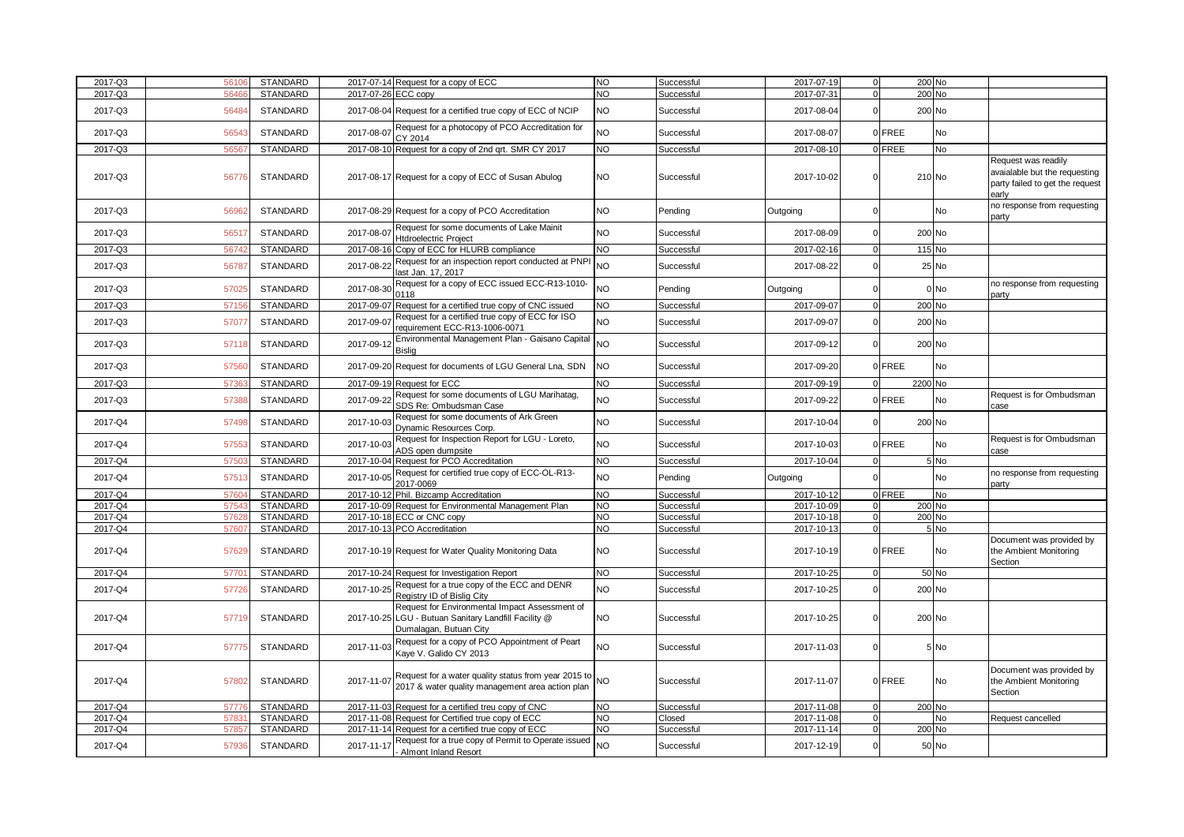| 2017-Q3            | 5610         | <b>STANDARD</b>             |            | 2017-07-14 Request for a copy of ECC                                                                                                                           | <b>NO</b>              | Successful               | 2017-07-19               | $\mathbf 0$             | 200 No          |                                                                                                  |
|--------------------|--------------|-----------------------------|------------|----------------------------------------------------------------------------------------------------------------------------------------------------------------|------------------------|--------------------------|--------------------------|-------------------------|-----------------|--------------------------------------------------------------------------------------------------|
| 2017-Q3            | 5646         | STANDARD                    |            | 2017-07-26 ECC copy                                                                                                                                            | <b>NO</b>              | Successful               | 2017-07-31               | $\Omega$                | 200 No          |                                                                                                  |
| 2017-Q3            | 5648         | <b>STANDARD</b>             |            | 2017-08-04 Request for a certified true copy of ECC of NCIP                                                                                                    | <b>NO</b>              | Successful               | 2017-08-04               | $\Omega$                | 200 No          |                                                                                                  |
| 2017-Q3            | 5654         | <b>STANDARD</b>             | 2017-08-07 | Request for a photocopy of PCO Accreditation for<br>CY 2014                                                                                                    | <b>NO</b>              | Successful               | 2017-08-07               | 0 FREE                  | <b>No</b>       |                                                                                                  |
| 2017-Q3            | 5656         | <b>STANDARD</b>             |            | 2017-08-10 Request for a copy of 2nd grt. SMR CY 2017                                                                                                          | <b>NO</b>              | Successful               | 2017-08-10               | 0 FREE                  | No              |                                                                                                  |
| 2017-Q3            | 5677         | <b>STANDARD</b>             |            | 2017-08-17 Request for a copy of ECC of Susan Abulog                                                                                                           | <b>NO</b>              | Successful               | 2017-10-02               | $\Omega$                | 210 No          | Request was readily<br>avaialable but the requesting<br>party failed to get the request<br>early |
| 2017-Q3            | 56962        | <b>STANDARD</b>             |            | 2017-08-29 Request for a copy of PCO Accreditation                                                                                                             | <b>NO</b>              | Pending                  | Outgoing                 | $\mathbf 0$             | No              | no response from requesting<br>party                                                             |
| 2017-Q3            | 5651         | STANDARD                    | 2017-08-07 | Request for some documents of Lake Mainit<br>Htdroelectric Project                                                                                             | <b>NO</b>              | Successful               | 2017-08-09               | $\Omega$                | 200 No          |                                                                                                  |
| 2017-Q3            | 5674         | STANDARD                    |            | 2017-08-16 Copy of ECC for HLURB compliance                                                                                                                    | <b>NO</b>              | Successful               | 2017-02-16               | $\Omega$                | 115 No          |                                                                                                  |
| 2017-Q3            | 56787        | <b>STANDARD</b>             | 2017-08-22 | Request for an inspection report conducted at PNP<br>last Jan. 17, 2017                                                                                        | <b>NO</b>              | Successful               | 2017-08-22               | $\Omega$                | 25 No           |                                                                                                  |
| 2017-Q3            | 5702         | STANDARD                    | 2017-08-30 | Request for a copy of ECC issued ECC-R13-1010-<br>0118                                                                                                         | <b>NO</b>              | Pending                  | Outgoing                 | $\Omega$                | 0 No            | no response from requesting<br>party                                                             |
| 2017-Q3            | 5715         | <b>STANDARD</b>             |            | 2017-09-07 Request for a certified true copy of CNC issued                                                                                                     | <b>NO</b>              | Successful               | 2017-09-07               | $\Omega$                | 200 No          |                                                                                                  |
| 2017-Q3            | 5707         | STANDARD                    | 2017-09-07 | Request for a certified true copy of ECC for ISO<br>requirement ECC-R13-1006-0071                                                                              | <b>NO</b>              | Successful               | 2017-09-07               | $\mathbf 0$             | 200 No          |                                                                                                  |
| 2017-Q3            | 5711         | STANDARD                    | 2017-09-12 | Environmental Management Plan - Gaisano Capital<br>Bislig                                                                                                      | <b>NO</b>              | Successful               | 2017-09-12               | $\Omega$                | 200 No          |                                                                                                  |
| 2017-Q3            | 5756         | <b>STANDARD</b>             |            | 2017-09-20 Request for documents of LGU General Lna, SDN                                                                                                       | <b>NO</b>              | Successful               | 2017-09-20               | 0 FREE                  | <b>No</b>       |                                                                                                  |
| 2017-Q3            | 5736         | STANDARD                    |            | 2017-09-19 Request for ECC                                                                                                                                     | <b>NO</b>              | Successful               | 2017-09-19               | $\Omega$                | 2200 No         |                                                                                                  |
| 2017-Q3            | 5738         | <b>STANDARD</b>             | 2017-09-22 | Request for some documents of LGU Marihatag,<br>SDS Re: Ombudsman Case                                                                                         | <b>NO</b>              | Successful               | 2017-09-22               | 0 FREE                  | <b>No</b>       | Request is for Ombudsman<br>case                                                                 |
| 2017-Q4            | 5749         | STANDARD                    | 2017-10-03 | Request for some documents of Ark Green<br>Dynamic Resources Corp.                                                                                             | <b>NO</b>              | Successful               | 2017-10-04               |                         | 200 No          |                                                                                                  |
| 2017-Q4            | 5755         | STANDARD                    | 2017-10-03 | Request for Inspection Report for LGU - Loreto,<br>ADS open dumpsite                                                                                           | <b>NO</b>              | Successful               | 2017-10-03               | 0 FREE                  | No              | Request is for Ombudsman<br>case                                                                 |
| 2017-Q4            | 5750         | STANDARD                    | 2017-10-04 | Request for PCO Accreditation                                                                                                                                  | <b>NO</b>              | Successful               | 2017-10-04               |                         | 5 No            |                                                                                                  |
| 2017-Q4            | 5751         | <b>STANDARD</b>             | 2017-10-05 | Request for certified true copy of ECC-OL-R13-<br>2017-0069                                                                                                    | <b>NO</b>              | Pending                  | Outgoing                 |                         | <b>No</b>       | no response from requesting<br>party                                                             |
| 2017-Q4            | 5760         | <b>STANDARD</b>             |            | 2017-10-12 Phil. Bizcamp Accreditation                                                                                                                         | <b>NO</b>              | Successful               | 2017-10-12               | 0 FREE                  | <b>No</b>       |                                                                                                  |
| 2017-Q4            | 5754         | <b>STANDARD</b>             |            | 2017-10-09 Request for Environmental Management Plan                                                                                                           | <b>NO</b>              | Successful               | 2017-10-09               | $\Omega$                | 200 No          |                                                                                                  |
| 2017-Q4            | 5762         | STANDARD                    |            | 2017-10-18 ECC or CNC copy                                                                                                                                     | <b>NO</b>              | Successful               | 2017-10-18               | $\Omega$                | 200 No          |                                                                                                  |
| 2017-Q4<br>2017-Q4 | 5760<br>5762 | STANDARD<br><b>STANDARD</b> |            | 2017-10-13 PCO Accreditation<br>2017-10-19 Request for Water Quality Monitoring Data                                                                           | <b>NO</b><br><b>NO</b> | Successful<br>Successful | 2017-10-13<br>2017-10-19 | $\Omega$<br>0 FREE      | 5 No<br>No      | Document was provided by<br>the Ambient Monitoring                                               |
|                    |              |                             |            |                                                                                                                                                                | <b>NO</b>              |                          |                          |                         |                 | Section                                                                                          |
| 2017-Q4<br>2017-Q4 | 5770<br>5772 | STANDARD<br>STANDARD        | 2017-10-25 | 2017-10-24 Request for Investigation Report<br>Request for a true copy of the ECC and DENR                                                                     | <b>NO</b>              | Successful<br>Successful | 2017-10-25<br>2017-10-25 | $\Omega$<br>$\mathbf 0$ | 50 No<br>200 No |                                                                                                  |
| 2017-Q4            | 5771         | STANDARD                    |            | Registry ID of Bislig City<br>Request for Environmental Impact Assessment of<br>2017-10-25 LGU - Butuan Sanitary Landfill Facility @<br>Dumalagan, Butuan City | <b>NO</b>              | Successful               | 2017-10-25               | $\mathbf 0$             | 200 No          |                                                                                                  |
| 2017-Q4            | 5777         | <b>STANDARD</b>             | 2017-11-03 | Request for a copy of PCO Appointment of Peart<br>Kaye V. Galido CY 2013                                                                                       | <b>NO</b>              | Successful               | 2017-11-03               | $\mathbf 0$             | 5 No            |                                                                                                  |
| 2017-Q4            | 57802        | <b>STANDARD</b>             | 2017-11-07 | Request for a water quality status from year 2015 to<br>2017 & water quality management area action plan                                                       | <b>NO</b>              | Successful               | 2017-11-07               | 0 FREE                  | No              | Document was provided by<br>the Ambient Monitoring<br>Section                                    |
| 2017-Q4            | 5777         | <b>STANDARD</b>             |            | 2017-11-03 Request for a certified treu copy of CNC                                                                                                            | NO                     | Successful               | 2017-11-08               | $\mathbf 0$             | 200 No          |                                                                                                  |
| 2017-Q4            | 578          | STANDARD                    |            | 2017-11-08 Request for Certified true copy of ECC                                                                                                              | <b>NO</b>              | Closed                   | 2017-11-08               | $\mathbf 0$             | No              | Request cancelled                                                                                |
| 2017-Q4            | 5785         | STANDARD                    |            | 2017-11-14 Request for a certified true copy of ECC                                                                                                            | <b>NO</b>              | Successful               | 2017-11-14               | $\mathbf 0$             | 200 No          |                                                                                                  |
| 2017-Q4            | 5793         | STANDARD                    | 2017-11-17 | Request for a true copy of Permit to Operate issued<br>Almont Inland Resort                                                                                    | <b>NO</b>              | Successful               | 2017-12-19               | $\mathbf 0$             | 50 No           |                                                                                                  |